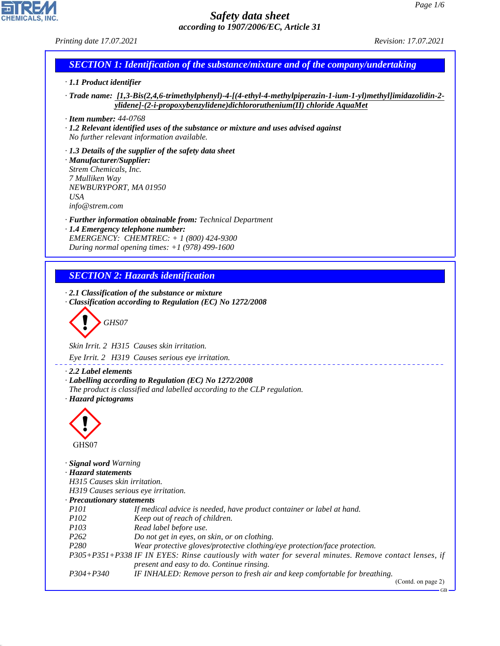*Printing date 17.07.2021 Revision: 17.07.2021*

# *SECTION 1: Identification of the substance/mixture and of the company/undertaking*

# *· 1.1 Product identifier*

*· Trade name: [1,3-Bis(2,4,6-trimethylphenyl)-4-[(4-ethyl-4-methylpiperazin-1-ium-1-yl)methyl]imidazolidin-2 ylidene]-(2-i-propoxybenzylidene)dichlororuthenium(II) chloride AquaMet*

*· Item number: 44-0768*

*· 1.2 Relevant identified uses of the substance or mixture and uses advised against No further relevant information available.*

*· 1.3 Details of the supplier of the safety data sheet · Manufacturer/Supplier: Strem Chemicals, Inc. 7 Mulliken Way NEWBURYPORT, MA 01950 USA info@strem.com*

*· Further information obtainable from: Technical Department · 1.4 Emergency telephone number: EMERGENCY: CHEMTREC: + 1 (800) 424-9300*

*During normal opening times: +1 (978) 499-1600*

# *SECTION 2: Hazards identification*

*· 2.1 Classification of the substance or mixture · Classification according to Regulation (EC) No 1272/2008*

d~*GHS07*

*Skin Irrit. 2 H315 Causes skin irritation.*

*Eye Irrit. 2 H319 Causes serious eye irritation.*

### *· 2.2 Label elements*

*· Labelling according to Regulation (EC) No 1272/2008*

- *The product is classified and labelled according to the CLP regulation.*
- *· Hazard pictograms*



44.1.1

*· Signal word Warning · Hazard statements H315 Causes skin irritation. H319 Causes serious eye irritation. · Precautionary statements P101 If medical advice is needed, have product container or label at hand. P102 Keep out of reach of children. P103 Read label before use. P262 Do not get in eyes, on skin, or on clothing. P280 Wear protective gloves/protective clothing/eye protection/face protection. P305+P351+P338 IF IN EYES: Rinse cautiously with water for several minutes. Remove contact lenses, if present and easy to do. Continue rinsing. P304+P340 IF INHALED: Remove person to fresh air and keep comfortable for breathing.* (Contd. on page 2)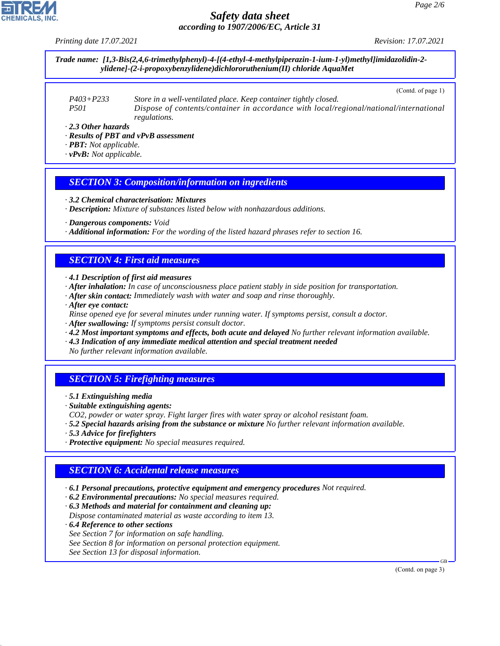*Printing date 17.07.2021 Revision: 17.07.2021*

*Trade name: [1,3-Bis(2,4,6-trimethylphenyl)-4-[(4-ethyl-4-methylpiperazin-1-ium-1-yl)methyl]imidazolidin-2 ylidene]-(2-i-propoxybenzylidene)dichlororuthenium(II) chloride AquaMet*

(Contd. of page 1)

| P403+P233 | Store in a well-ventilated place. Keep container tightly closed.                       |
|-----------|----------------------------------------------------------------------------------------|
| P501      | Dispose of contents/container in accordance with local/regional/national/international |
|           | <i>regulations.</i>                                                                    |

*· 2.3 Other hazards*

*· Results of PBT and vPvB assessment*

*· PBT: Not applicable.*

*· vPvB: Not applicable.*

#### *SECTION 3: Composition/information on ingredients*

*· 3.2 Chemical characterisation: Mixtures*

*· Description: Mixture of substances listed below with nonhazardous additions.*

*· Dangerous components: Void*

*· Additional information: For the wording of the listed hazard phrases refer to section 16.*

### *SECTION 4: First aid measures*

*· 4.1 Description of first aid measures*

- *· After inhalation: In case of unconsciousness place patient stably in side position for transportation.*
- *· After skin contact: Immediately wash with water and soap and rinse thoroughly.*
- *· After eye contact:*

*Rinse opened eye for several minutes under running water. If symptoms persist, consult a doctor.*

- *· After swallowing: If symptoms persist consult doctor.*
- *· 4.2 Most important symptoms and effects, both acute and delayed No further relevant information available.*
- *· 4.3 Indication of any immediate medical attention and special treatment needed*

*No further relevant information available.*

### *SECTION 5: Firefighting measures*

- *· 5.1 Extinguishing media*
- *· Suitable extinguishing agents:*
- *CO2, powder or water spray. Fight larger fires with water spray or alcohol resistant foam.*
- *· 5.2 Special hazards arising from the substance or mixture No further relevant information available.*
- *· 5.3 Advice for firefighters*
- *· Protective equipment: No special measures required.*

### *SECTION 6: Accidental release measures*

- *· 6.1 Personal precautions, protective equipment and emergency procedures Not required.*
- *· 6.2 Environmental precautions: No special measures required.*

*· 6.3 Methods and material for containment and cleaning up:*

*Dispose contaminated material as waste according to item 13.*

*· 6.4 Reference to other sections*

44.1.1

- *See Section 7 for information on safe handling.*
- *See Section 8 for information on personal protection equipment.*
- *See Section 13 for disposal information.*

(Contd. on page 3)

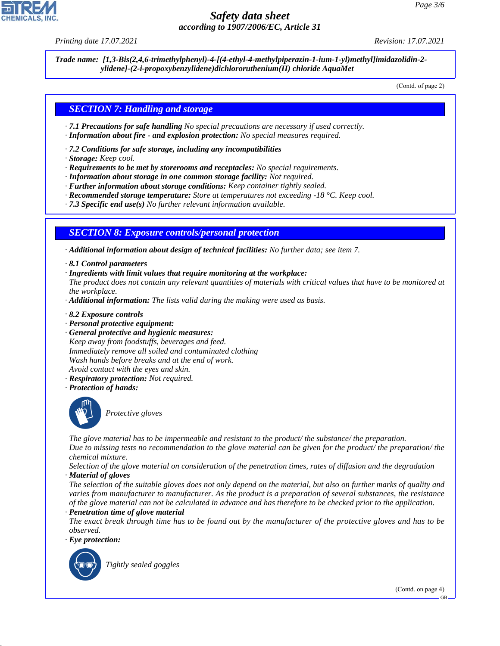*Printing date 17.07.2021 Revision: 17.07.2021*

*Trade name: [1,3-Bis(2,4,6-trimethylphenyl)-4-[(4-ethyl-4-methylpiperazin-1-ium-1-yl)methyl]imidazolidin-2 ylidene]-(2-i-propoxybenzylidene)dichlororuthenium(II) chloride AquaMet*

(Contd. of page 2)

## *SECTION 7: Handling and storage*

- *· 7.1 Precautions for safe handling No special precautions are necessary if used correctly.*
- *· Information about fire and explosion protection: No special measures required.*
- *· 7.2 Conditions for safe storage, including any incompatibilities*
- *· Storage: Keep cool.*
- *· Requirements to be met by storerooms and receptacles: No special requirements.*
- *· Information about storage in one common storage facility: Not required.*
- *· Further information about storage conditions: Keep container tightly sealed.*
- *· Recommended storage temperature: Store at temperatures not exceeding -18 °C. Keep cool.*
- *· 7.3 Specific end use(s) No further relevant information available.*

### *SECTION 8: Exposure controls/personal protection*

*· Additional information about design of technical facilities: No further data; see item 7.*

- *· 8.1 Control parameters*
- *· Ingredients with limit values that require monitoring at the workplace:*

*The product does not contain any relevant quantities of materials with critical values that have to be monitored at the workplace.*

*· Additional information: The lists valid during the making were used as basis.*

*· 8.2 Exposure controls*

- *· Personal protective equipment:*
- *· General protective and hygienic measures:*

*Keep away from foodstuffs, beverages and feed. Immediately remove all soiled and contaminated clothing Wash hands before breaks and at the end of work. Avoid contact with the eyes and skin.*

- *· Respiratory protection: Not required.*
- *· Protection of hands:*



\_S*Protective gloves*

*The glove material has to be impermeable and resistant to the product/ the substance/ the preparation. Due to missing tests no recommendation to the glove material can be given for the product/ the preparation/ the chemical mixture.*

*Selection of the glove material on consideration of the penetration times, rates of diffusion and the degradation · Material of gloves*

*The selection of the suitable gloves does not only depend on the material, but also on further marks of quality and varies from manufacturer to manufacturer. As the product is a preparation of several substances, the resistance of the glove material can not be calculated in advance and has therefore to be checked prior to the application. · Penetration time of glove material*

*The exact break through time has to be found out by the manufacturer of the protective gloves and has to be observed.*

*· Eye protection:*



44.1.1

\_R*Tightly sealed goggles*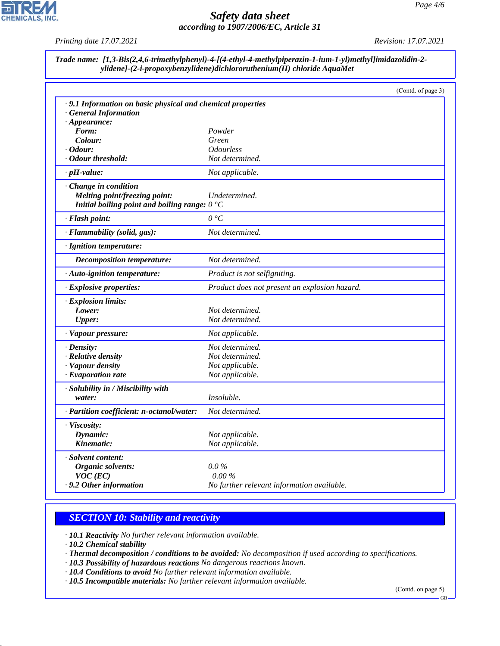

*Printing date 17.07.2021 Revision: 17.07.2021*

| Trade name: [1,3-Bis(2,4,6-trimethylphenyl)-4-[(4-ethyl-4-methylpiperazin-1-ium-1-yl)methyl]imidazolidin-2- |
|-------------------------------------------------------------------------------------------------------------|
| ylidene]-(2-i-propoxybenzylidene)dichlororuthenium(II) chloride AquaMet                                     |

|                                                             |                                               | (Contd. of page 3) |
|-------------------------------------------------------------|-----------------------------------------------|--------------------|
| · 9.1 Information on basic physical and chemical properties |                                               |                    |
| · General Information                                       |                                               |                    |
| $\cdot$ Appearance:                                         |                                               |                    |
| Form:                                                       | Powder                                        |                    |
| Colour:                                                     | Green                                         |                    |
| · Odour:                                                    | <i><b>Odourless</b></i>                       |                    |
| · Odour threshold:                                          | Not determined.                               |                    |
| $\cdot$ pH-value:                                           | Not applicable.                               |                    |
| · Change in condition                                       |                                               |                    |
| Melting point/freezing point:                               | Undetermined.                                 |                    |
| Initial boiling point and boiling range: $0^{\circ}$ C      |                                               |                    |
| · Flash point:                                              | $0^{\circ}C$                                  |                    |
| · Flammability (solid, gas):                                | Not determined.                               |                    |
| · Ignition temperature:                                     |                                               |                    |
| Decomposition temperature:                                  | Not determined.                               |                    |
| · Auto-ignition temperature:                                | Product is not selfigniting.                  |                    |
| · Explosive properties:                                     | Product does not present an explosion hazard. |                    |
| · Explosion limits:                                         |                                               |                    |
| Lower:                                                      | Not determined.                               |                    |
| <b>Upper:</b>                                               | Not determined.                               |                    |
| · Vapour pressure:                                          | Not applicable.                               |                    |
| $\cdot$ Density:                                            | Not determined.                               |                    |
| · Relative density                                          | Not determined.                               |                    |
| · Vapour density                                            | Not applicable.                               |                    |
| $\cdot$ Evaporation rate                                    | Not applicable.                               |                    |
| · Solubility in / Miscibility with                          |                                               |                    |
| water:                                                      | Insoluble.                                    |                    |
| · Partition coefficient: n-octanol/water:                   | Not determined.                               |                    |
| · Viscosity:                                                |                                               |                    |
| Dynamic:                                                    | Not applicable.                               |                    |
| Kinematic:                                                  | Not applicable.                               |                    |
| · Solvent content:                                          |                                               |                    |
| Organic solvents:                                           | $0.0\%$                                       |                    |
| $VOC$ (EC)                                                  | $0.00\%$                                      |                    |
| . 9.2 Other information                                     | No further relevant information available.    |                    |

## *SECTION 10: Stability and reactivity*

*· 10.1 Reactivity No further relevant information available.*

*· 10.2 Chemical stability*

44.1.1

*· Thermal decomposition / conditions to be avoided: No decomposition if used according to specifications.*

- *· 10.3 Possibility of hazardous reactions No dangerous reactions known.*
- *· 10.4 Conditions to avoid No further relevant information available.*

*· 10.5 Incompatible materials: No further relevant information available.*

(Contd. on page 5)

GB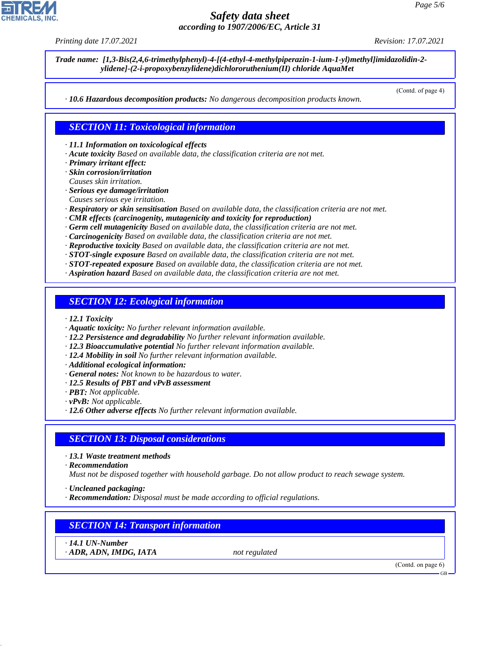*Printing date 17.07.2021 Revision: 17.07.2021*

*Trade name: [1,3-Bis(2,4,6-trimethylphenyl)-4-[(4-ethyl-4-methylpiperazin-1-ium-1-yl)methyl]imidazolidin-2 ylidene]-(2-i-propoxybenzylidene)dichlororuthenium(II) chloride AquaMet*

(Contd. of page 4)

*· 10.6 Hazardous decomposition products: No dangerous decomposition products known.*

### *SECTION 11: Toxicological information*

*· 11.1 Information on toxicological effects*

*· Acute toxicity Based on available data, the classification criteria are not met.*

*· Primary irritant effect:*

*· Skin corrosion/irritation Causes skin irritation.*

- *· Serious eye damage/irritation*
- *Causes serious eye irritation.*
- *· Respiratory or skin sensitisation Based on available data, the classification criteria are not met.*
- *· CMR effects (carcinogenity, mutagenicity and toxicity for reproduction)*
- *· Germ cell mutagenicity Based on available data, the classification criteria are not met.*
- *· Carcinogenicity Based on available data, the classification criteria are not met.*
- *· Reproductive toxicity Based on available data, the classification criteria are not met.*
- *· STOT-single exposure Based on available data, the classification criteria are not met.*
- *· STOT-repeated exposure Based on available data, the classification criteria are not met.*
- *· Aspiration hazard Based on available data, the classification criteria are not met.*

#### *SECTION 12: Ecological information*

- *· 12.1 Toxicity*
- *· Aquatic toxicity: No further relevant information available.*
- *· 12.2 Persistence and degradability No further relevant information available.*
- *· 12.3 Bioaccumulative potential No further relevant information available.*
- *· 12.4 Mobility in soil No further relevant information available.*
- *· Additional ecological information:*
- *· General notes: Not known to be hazardous to water.*
- *· 12.5 Results of PBT and vPvB assessment*
- *· PBT: Not applicable.*
- *· vPvB: Not applicable.*
- *· 12.6 Other adverse effects No further relevant information available.*

### *SECTION 13: Disposal considerations*

- *· 13.1 Waste treatment methods*
- *· Recommendation*

*Must not be disposed together with household garbage. Do not allow product to reach sewage system.*

*· Uncleaned packaging:*

*· Recommendation: Disposal must be made according to official regulations.*

# *SECTION 14: Transport information*

*· 14.1 UN-Number · ADR, ADN, IMDG, IATA not regulated*

44.1.1

(Contd. on page 6)